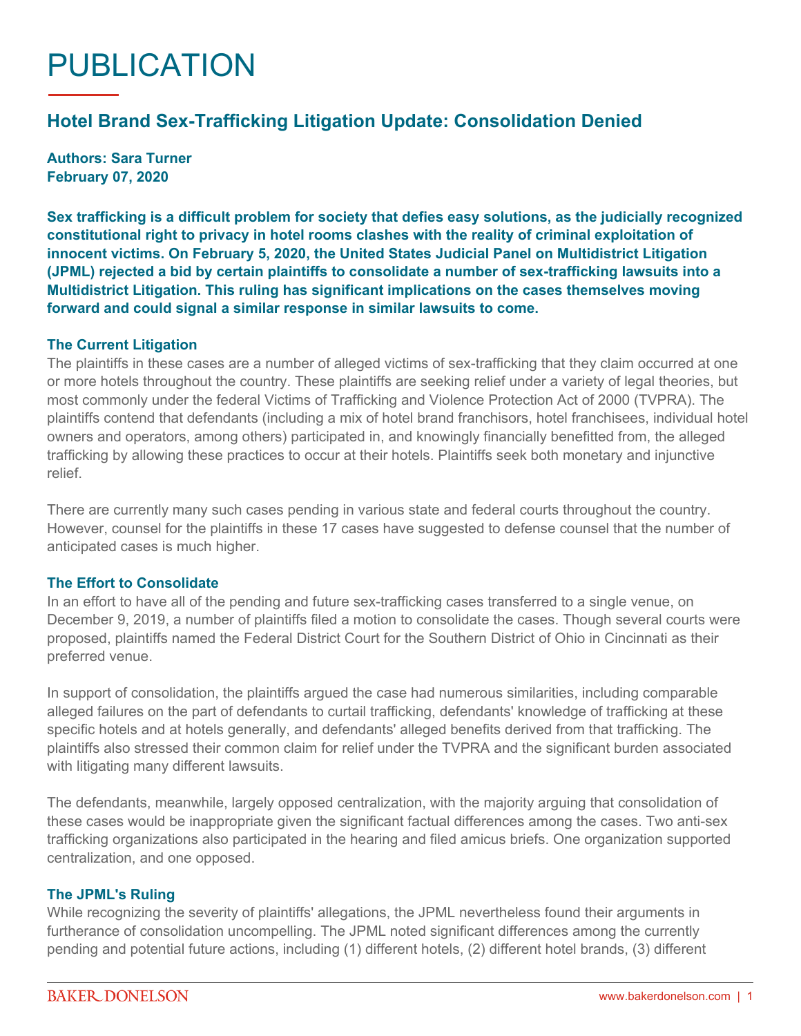# PUBLICATION

## **Hotel Brand Sex-Trafficking Litigation Update: Consolidation Denied**

**Authors: Sara Turner February 07, 2020**

**Sex trafficking is a difficult problem for society that defies easy solutions, as the judicially recognized constitutional right to privacy in hotel rooms clashes with the reality of criminal exploitation of innocent victims. On February 5, 2020, the United States Judicial Panel on Multidistrict Litigation (JPML) rejected a bid by certain plaintiffs to consolidate a number of sex-trafficking lawsuits into a Multidistrict Litigation. This ruling has significant implications on the cases themselves moving forward and could signal a similar response in similar lawsuits to come.**

#### **The Current Litigation**

The plaintiffs in these cases are a number of alleged victims of sex-trafficking that they claim occurred at one or more hotels throughout the country. These plaintiffs are seeking relief under a variety of legal theories, but most commonly under the federal Victims of Trafficking and Violence Protection Act of 2000 (TVPRA). The plaintiffs contend that defendants (including a mix of hotel brand franchisors, hotel franchisees, individual hotel owners and operators, among others) participated in, and knowingly financially benefitted from, the alleged trafficking by allowing these practices to occur at their hotels. Plaintiffs seek both monetary and injunctive relief.

There are currently many such cases pending in various state and federal courts throughout the country. However, counsel for the plaintiffs in these 17 cases have suggested to defense counsel that the number of anticipated cases is much higher.

#### **The Effort to Consolidate**

In an effort to have all of the pending and future sex-trafficking cases transferred to a single venue, on December 9, 2019, a number of plaintiffs filed a motion to consolidate the cases. Though several courts were proposed, plaintiffs named the Federal District Court for the Southern District of Ohio in Cincinnati as their preferred venue.

In support of consolidation, the plaintiffs argued the case had numerous similarities, including comparable alleged failures on the part of defendants to curtail trafficking, defendants' knowledge of trafficking at these specific hotels and at hotels generally, and defendants' alleged benefits derived from that trafficking. The plaintiffs also stressed their common claim for relief under the TVPRA and the significant burden associated with litigating many different lawsuits.

The defendants, meanwhile, largely opposed centralization, with the majority arguing that consolidation of these cases would be inappropriate given the significant factual differences among the cases. Two anti-sex trafficking organizations also participated in the hearing and filed amicus briefs. One organization supported centralization, and one opposed.

#### **The JPML's Ruling**

While recognizing the severity of plaintiffs' allegations, the JPML nevertheless found their arguments in furtherance of consolidation uncompelling. The JPML noted significant differences among the currently pending and potential future actions, including (1) different hotels, (2) different hotel brands, (3) different